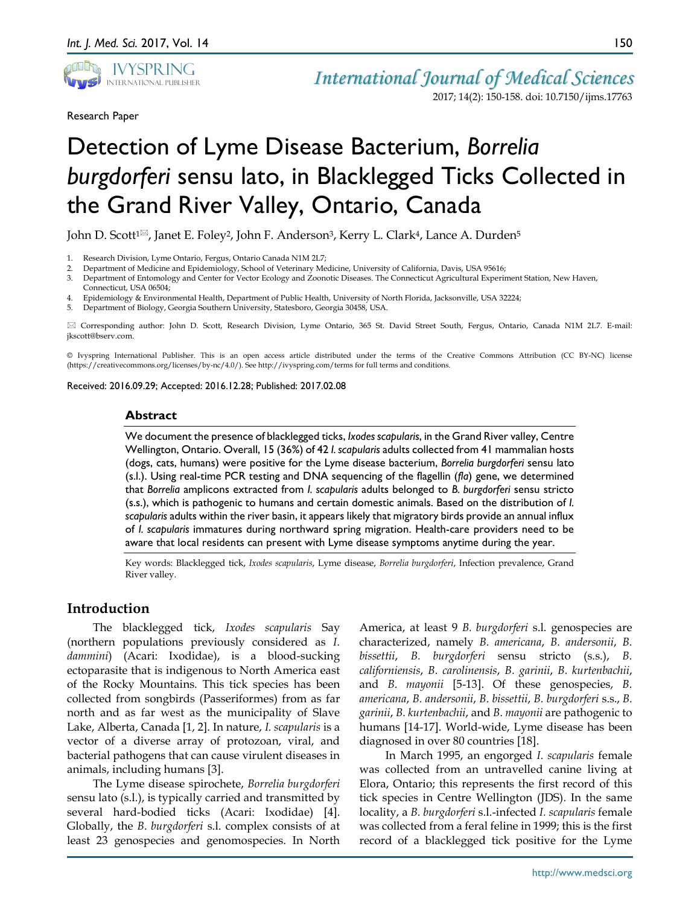

Research Paper

2017; 14(2): 150-158. doi: 10.7150/ijms.17763

# Detection of Lyme Disease Bacterium, *Borrelia burgdorferi* sensu lato, in Blacklegged Ticks Collected in the Grand River Valley, Ontario, Canada

John D. Scott<sup>1⊠</sup>, Janet E. Foley<sup>2</sup>, John F. Anderson<sup>3</sup>, Kerry L. Clark<sup>4</sup>, Lance A. Durden<sup>5</sup>

- 1. Research Division, Lyme Ontario, Fergus, Ontario Canada N1M 2L7;
- 2. Department of Medicine and Epidemiology, School of Veterinary Medicine, University of California, Davis, USA 95616;<br>3. Department of Entomology and Center for Vector Ecology and Zoonotic Diseases. The Connecticut Agricu
- 3. Department of Entomology and Center for Vector Ecology and Zoonotic Diseases. The Connecticut Agricultural Experiment Station, New Haven, Connecticut, USA 06504;
- 4. Epidemiology & Environmental Health, Department of Public Health, University of North Florida, Jacksonville, USA 32224;
- 5. Department of Biology, Georgia Southern University, Statesboro, Georgia 30458, USA.

 Corresponding author: John D. Scott, Research Division, Lyme Ontario, 365 St. David Street South, Fergus, Ontario, Canada N1M 2L7. E-mail: jkscott@bserv.com.

© Ivyspring International Publisher. This is an open access article distributed under the terms of the Creative Commons Attribution (CC BY-NC) license (https://creativecommons.org/licenses/by-nc/4.0/). See http://ivyspring.com/terms for full terms and conditions.

Received: 2016.09.29; Accepted: 2016.12.28; Published: 2017.02.08

#### **Abstract**

We document the presence of blacklegged ticks, *Ixodes scapularis*, in the Grand River valley, Centre Wellington, Ontario. Overall, 15 (36%) of 42 *I. scapularis* adults collected from 41 mammalian hosts (dogs, cats, humans) were positive for the Lyme disease bacterium, *Borrelia burgdorferi* sensu lato (s.l.). Using real-time PCR testing and DNA sequencing of the flagellin (*fla*) gene, we determined that *Borrelia* amplicons extracted from *I. scapularis* adults belonged to *B. burgdorferi* sensu stricto (s.s.), which is pathogenic to humans and certain domestic animals. Based on the distribution of *I. scapularis* adults within the river basin, it appears likely that migratory birds provide an annual influx of *I. scapularis* immatures during northward spring migration. Health-care providers need to be aware that local residents can present with Lyme disease symptoms anytime during the year.

Key words: Blacklegged tick, *Ixodes scapularis*, Lyme disease, *Borrelia burgdorferi*, Infection prevalence, Grand River valley.

# **Introduction**

The blacklegged tick, *Ixodes scapularis* Say (northern populations previously considered as *I. dammini*) (Acari: Ixodidae), is a blood-sucking ectoparasite that is indigenous to North America east of the Rocky Mountains. This tick species has been collected from songbirds (Passeriformes) from as far north and as far west as the municipality of Slave Lake, Alberta, Canada [1, 2]. In nature, *I. scapularis* is a vector of a diverse array of protozoan, viral, and bacterial pathogens that can cause virulent diseases in animals, including humans [3].

The Lyme disease spirochete, *Borrelia burgdorferi* sensu lato (s.l.), is typically carried and transmitted by several hard-bodied ticks (Acari: Ixodidae) [4]. Globally, the *B. burgdorferi* s.l. complex consists of at least 23 genospecies and genomospecies. In North

America, at least 9 *B. burgdorferi* s.l. genospecies are characterized, namely *B. americana*, *B. andersonii*, *B. bissettii*, *B. burgdorferi* sensu stricto (s.s.), *B. californiensis*, *B. carolinensis*, *B. garinii*, *B. kurtenbachii*, and *B. mayonii* [5-13]. Of these genospecies, *B. americana*, *B. andersonii*, *B. bissettii*, *B. burgdorferi* s.s., *B. garinii*, *B. kurtenbachii*, and *B. mayonii* are pathogenic to humans [14-17]. World-wide, Lyme disease has been diagnosed in over 80 countries [18].

In March 1995, an engorged *I. scapularis* female was collected from an untravelled canine living at Elora, Ontario; this represents the first record of this tick species in Centre Wellington (JDS). In the same locality, a *B. burgdorferi* s.l.-infected *I. scapularis* female was collected from a feral feline in 1999; this is the first record of a blacklegged tick positive for the Lyme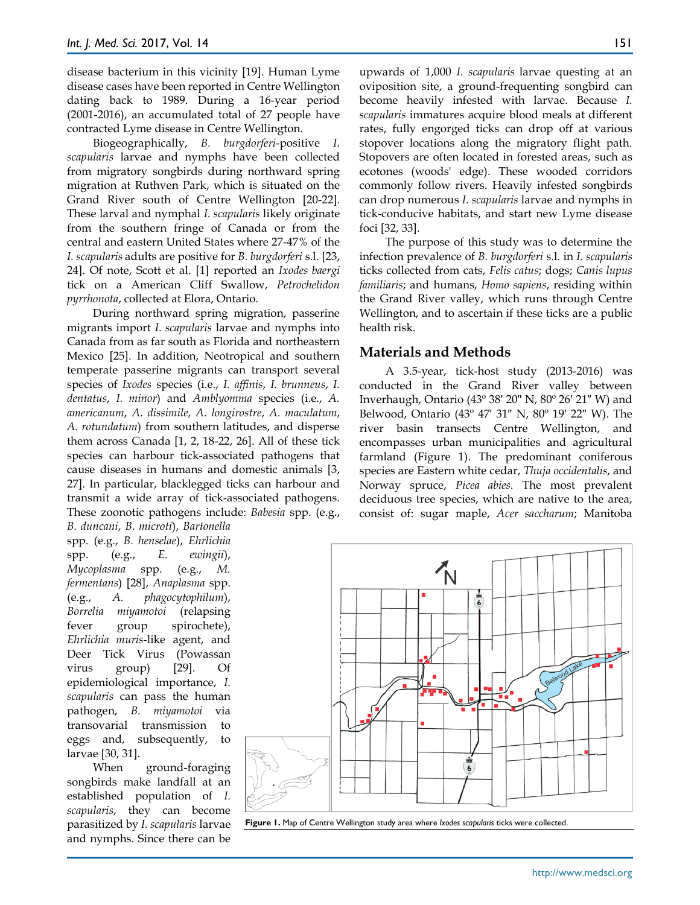disease bacterium in this vicinity [19]. Human Lyme disease cases have been reported in Centre Wellington dating back to 1989. During a 16-year period (2001-2016), an accumulated total of 27 people have contracted Lyme disease in Centre Wellington.

Biogeographically, *B. burgdorferi*-positive *I. scapularis* larvae and nymphs have been collected from migratory songbirds during northward spring migration at Ruthven Park, which is situated on the Grand River south of Centre Wellington [20-22]. These larval and nymphal *I. scapularis* likely originate from the southern fringe of Canada or from the central and eastern United States where 27-47% of the *I. scapularis* adults are positive for *B. burgdorferi* s.l. [23, 24]. Of note, Scott et al. [1] reported an *Ixodes baergi* tick on a American Cliff Swallow, *Petrochelidon pyrrhonota*, collected at Elora, Ontario.

During northward spring migration, passerine migrants import *I. scapularis* larvae and nymphs into Canada from as far south as Florida and northeastern Mexico [25]. In addition, Neotropical and southern temperate passerine migrants can transport several species of *Ixodes* species (i.e., *I. affinis*, *I. brunneus*, *I. dentatus*, *I. minor*) and *Amblyomma* species (i.e., *A. americanum*, *A. dissimile*, *A. longirostre*, *A. maculatum*, *A. rotundatum*) from southern latitudes, and disperse them across Canada [1, 2, 18-22, 26]. All of these tick species can harbour tick-associated pathogens that cause diseases in humans and domestic animals [3, 27]. In particular, blacklegged ticks can harbour and transmit a wide array of tick-associated pathogens. These zoonotic pathogens include: *Babesia* spp. (e.g.,

*B. duncani*, *B. microti*), *Bartonella* spp. (e.g., *B. henselae*), *Ehrlichia* spp. (e.g., *E. ewingii*), *Mycoplasma* spp. (e.g., *M. fermentans*) [28], *Anaplasma* spp. (e.g., *A. phagocytophilum*), *Borrelia miyamotoi* (relapsing fever group spirochete), *Ehrlichia muris*-like agent, and Deer Tick Virus (Powassan virus group) [29]. Of epidemiological importance, *I. scapularis* can pass the human pathogen, *B. miyamotoi* via transovarial transmission to eggs and, subsequently, to larvae [30, 31].

When ground-foraging songbirds make landfall at an established population of *I. scapularis*, they can become parasitized by *I. scapularis* larvae and nymphs. Since there can be

upwards of 1,000 *I. scapularis* larvae questing at an oviposition site, a ground-frequenting songbird can become heavily infested with larvae. Because *I. scapularis* immatures acquire blood meals at different rates, fully engorged ticks can drop off at various stopover locations along the migratory flight path. Stopovers are often located in forested areas, such as ecotones (woods' edge). These wooded corridors commonly follow rivers. Heavily infested songbirds can drop numerous *I. scapularis* larvae and nymphs in tick-conducive habitats, and start new Lyme disease foci [32, 33].

The purpose of this study was to determine the infection prevalence of *B. burgdorferi* s.l. in *I. scapularis* ticks collected from cats, *Felis catus*; dogs; *Canis lupus familiaris*; and humans, *Homo sapiens*, residing within the Grand River valley, which runs through Centre Wellington, and to ascertain if these ticks are a public health risk.

### **Materials and Methods**

A 3.5-year, tick-host study (2013-2016) was conducted in the Grand River valley between Inverhaugh, Ontario (43º 38′ 20″ N, 80º 26′ 21″ W) and Belwood, Ontario (43º 47′ 31″ N, 80º 19′ 22″ W). The river basin transects Centre Wellington, and encompasses urban municipalities and agricultural farmland (Figure 1). The predominant coniferous species are Eastern white cedar, *Thuja occidentalis*, and Norway spruce, *Picea abies*. The most prevalent deciduous tree species, which are native to the area, consist of: sugar maple, *Acer saccharum*; Manitoba



**Figure 1.** Map of Centre Wellington study area where *Ixodes scapularis* ticks were collected.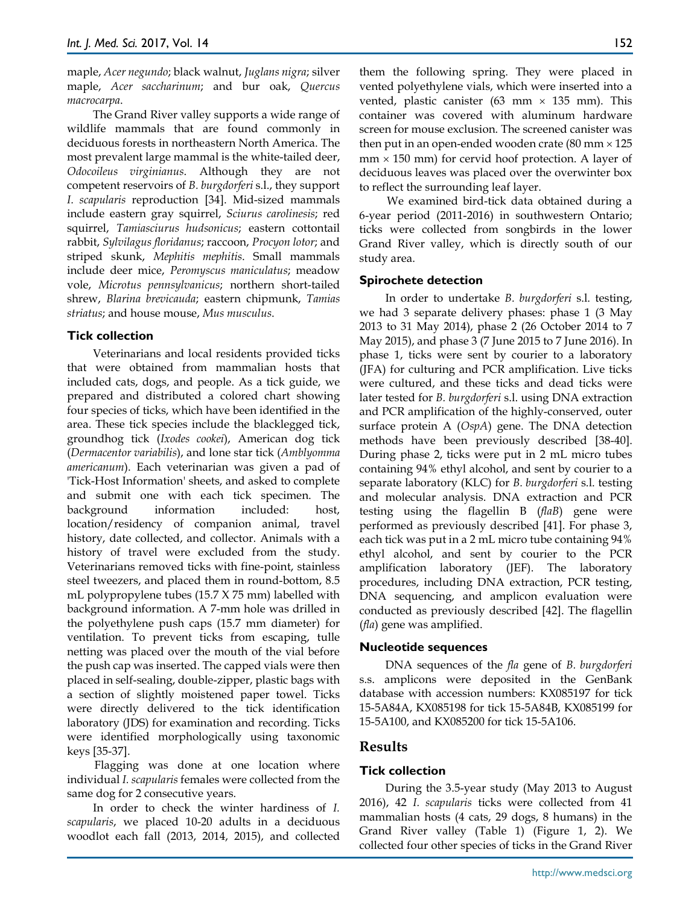maple, *Acer negundo*; black walnut, *Juglans nigra*; silver maple, *Acer saccharinum*; and bur oak, *Quercus macrocarpa*.

The Grand River valley supports a wide range of wildlife mammals that are found commonly in deciduous forests in northeastern North America. The most prevalent large mammal is the white-tailed deer, *Odocoileus virginianus*. Although they are not competent reservoirs of *B. burgdorferi* s.l., they support *I. scapularis* reproduction [34]. Mid-sized mammals include eastern gray squirrel, *Sciurus carolinesis*; red squirrel, *Tamiasciurus hudsonicus*; eastern cottontail rabbit, *Sylvilagus floridanus*; raccoon, *Procyon lotor*; and striped skunk, *Mephitis mephitis*. Small mammals include deer mice, *Peromyscus maniculatus*; meadow vole, *Microtus pennsylvanicus*; northern short-tailed shrew, *Blarina brevicauda*; eastern chipmunk, *Tamias striatus*; and house mouse, *Mus musculus*.

# **Tick collection**

Veterinarians and local residents provided ticks that were obtained from mammalian hosts that included cats, dogs, and people. As a tick guide, we prepared and distributed a colored chart showing four species of ticks, which have been identified in the area. These tick species include the blacklegged tick, groundhog tick (*Ixodes cookei*), American dog tick (*Dermacentor variabilis*), and lone star tick (*Amblyomma americanum*). Each veterinarian was given a pad of 'Tick-Host Information' sheets, and asked to complete and submit one with each tick specimen. The background information included: host, location/residency of companion animal, travel history, date collected, and collector. Animals with a history of travel were excluded from the study. Veterinarians removed ticks with fine-point, stainless steel tweezers, and placed them in round-bottom, 8.5 mL polypropylene tubes (15.7 X 75 mm) labelled with background information. A 7-mm hole was drilled in the polyethylene push caps (15.7 mm diameter) for ventilation. To prevent ticks from escaping, tulle netting was placed over the mouth of the vial before the push cap was inserted. The capped vials were then placed in self-sealing, double-zipper, plastic bags with a section of slightly moistened paper towel. Ticks were directly delivered to the tick identification laboratory (JDS) for examination and recording. Ticks were identified morphologically using taxonomic keys [35-37].

Flagging was done at one location where individual *I. scapularis* females were collected from the same dog for 2 consecutive years.

In order to check the winter hardiness of *I. scapularis*, we placed 10-20 adults in a deciduous woodlot each fall (2013, 2014, 2015), and collected them the following spring. They were placed in vented polyethylene vials, which were inserted into a vented, plastic canister (63 mm  $\times$  135 mm). This container was covered with aluminum hardware screen for mouse exclusion. The screened canister was then put in an open-ended wooden crate  $(80 \text{ mm} \times 125)$  $mm \times 150$  mm) for cervid hoof protection. A layer of deciduous leaves was placed over the overwinter box to reflect the surrounding leaf layer.

We examined bird-tick data obtained during a 6-year period (2011-2016) in southwestern Ontario; ticks were collected from songbirds in the lower Grand River valley, which is directly south of our study area.

# **Spirochete detection**

In order to undertake *B. burgdorferi* s.l. testing, we had 3 separate delivery phases: phase 1 (3 May 2013 to 31 May 2014), phase 2 (26 October 2014 to 7 May 2015), and phase 3 (7 June 2015 to 7 June 2016). In phase 1, ticks were sent by courier to a laboratory (JFA) for culturing and PCR amplification. Live ticks were cultured, and these ticks and dead ticks were later tested for *B. burgdorferi* s.l. using DNA extraction and PCR amplification of the highly-conserved, outer surface protein A (*OspA*) gene. The DNA detection methods have been previously described [38-40]. During phase 2, ticks were put in 2 mL micro tubes containing 94% ethyl alcohol, and sent by courier to a separate laboratory (KLC) for *B. burgdorferi* s.l. testing and molecular analysis. DNA extraction and PCR testing using the flagellin B (*flaB*) gene were performed as previously described [41]. For phase 3, each tick was put in a 2 mL micro tube containing 94% ethyl alcohol, and sent by courier to the PCR amplification laboratory (JEF). The laboratory procedures, including DNA extraction, PCR testing, DNA sequencing, and amplicon evaluation were conducted as previously described [42]. The flagellin (*fla*) gene was amplified.

#### **Nucleotide sequences**

DNA sequences of the *fla* gene of *B. burgdorferi*  s.s. amplicons were deposited in the GenBank database with accession numbers: KX085197 for tick 15-5A84A, KX085198 for tick 15-5A84B, KX085199 for 15-5A100, and KX085200 for tick 15-5A106.

# **Results**

# **Tick collection**

During the 3.5-year study (May 2013 to August 2016), 42 *I. scapularis* ticks were collected from 41 mammalian hosts (4 cats, 29 dogs, 8 humans) in the Grand River valley (Table 1) (Figure 1, 2). We collected four other species of ticks in the Grand River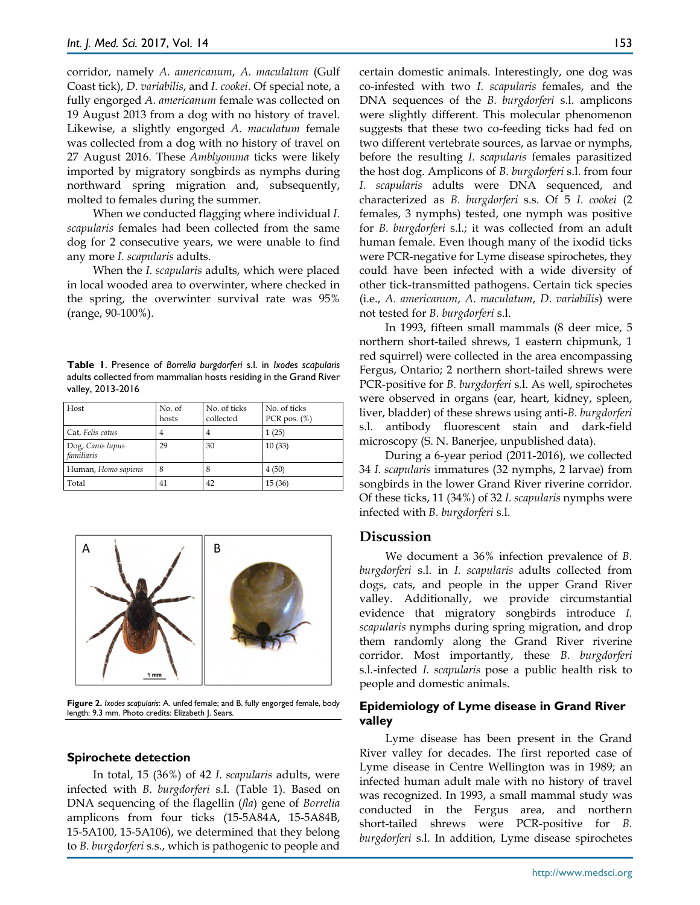corridor, namely *A. americanum*, *A. maculatum* (Gulf Coast tick), *D. variabilis*, and *I. cookei*. Of special note, a fully engorged *A. americanum* female was collected on 19 August 2013 from a dog with no history of travel. Likewise, a slightly engorged *A. maculatum* female was collected from a dog with no history of travel on 27 August 2016. These *Amblyomma* ticks were likely imported by migratory songbirds as nymphs during northward spring migration and, subsequently, molted to females during the summer.

When we conducted flagging where individual *I. scapularis* females had been collected from the same dog for 2 consecutive years, we were unable to find any more *I. scapularis* adults.

When the *I. scapularis* adults, which were placed in local wooded area to overwinter, where checked in the spring, the overwinter survival rate was 95% (range, 90-100%).

**Table 1**. Presence of *Borrelia burgdorferi* s.l. in *Ixodes scapularis* adults collected from mammalian hosts residing in the Grand River valley, 2013-2016

| Host                           | No. of<br>hosts | No. of ticks<br>collected | No. of ticks<br>PCR pos. $(\%)$ |
|--------------------------------|-----------------|---------------------------|---------------------------------|
| Cat, Felis catus               |                 | $\overline{4}$            | 1(25)                           |
| Dog, Canis lupus<br>familiaris | 29              | 30                        | 10(33)                          |
| Human, Homo sapiens            | 8               | 8                         | 4(50)                           |
| Total                          | 41              | 42                        | 15(36)                          |



**Figure 2.** *Ixodes scapularis*: A. unfed female; and B. fully engorged female, body length: 9.3 mm. Photo credits: Elizabeth J. Sears.

#### **Spirochete detection**

In total, 15 (36%) of 42 *I. scapularis* adults, were infected with *B. burgdorferi* s.l. (Table 1). Based on DNA sequencing of the flagellin (*fla*) gene of *Borrelia* amplicons from four ticks (15-5A84A, 15-5A84B, 15-5A100, 15-5A106), we determined that they belong to *B. burgdorferi* s.s., which is pathogenic to people and

certain domestic animals. Interestingly, one dog was co-infested with two *I. scapularis* females, and the DNA sequences of the *B. burgdorferi* s.l. amplicons were slightly different. This molecular phenomenon suggests that these two co-feeding ticks had fed on two different vertebrate sources, as larvae or nymphs, before the resulting *I. scapularis* females parasitized the host dog. Amplicons of *B. burgdorferi* s.l. from four *I. scapularis* adults were DNA sequenced, and characterized as *B. burgdorferi* s.s. Of 5 *I. cookei* (2 females, 3 nymphs) tested, one nymph was positive for *B. burgdorferi* s.l.; it was collected from an adult human female. Even though many of the ixodid ticks were PCR-negative for Lyme disease spirochetes, they could have been infected with a wide diversity of other tick-transmitted pathogens. Certain tick species (i.e., *A. americanum*, *A. maculatum*, *D. variabilis*) were not tested for *B. burgdorferi* s.l.

In 1993, fifteen small mammals (8 deer mice, 5 northern short-tailed shrews, 1 eastern chipmunk, 1 red squirrel) were collected in the area encompassing Fergus, Ontario; 2 northern short-tailed shrews were PCR-positive for *B. burgdorferi* s.l. As well, spirochetes were observed in organs (ear, heart, kidney, spleen, liver, bladder) of these shrews using anti-*B. burgdorferi* s.l. antibody fluorescent stain and dark-field microscopy (S. N. Banerjee, unpublished data).

During a 6-year period (2011-2016), we collected 34 *I. scapularis* immatures (32 nymphs, 2 larvae) from songbirds in the lower Grand River riverine corridor. Of these ticks, 11 (34%) of 32 *I. scapularis* nymphs were infected with *B. burgdorferi* s.l.

#### **Discussion**

We document a 36% infection prevalence of *B. burgdorferi* s.l. in *I. scapularis* adults collected from dogs, cats, and people in the upper Grand River valley. Additionally, we provide circumstantial evidence that migratory songbirds introduce *I. scapularis* nymphs during spring migration, and drop them randomly along the Grand River riverine corridor. Most importantly, these *B. burgdorferi* s.l.-infected *I. scapularis* pose a public health risk to people and domestic animals.

#### **Epidemiology of Lyme disease in Grand River valley**

Lyme disease has been present in the Grand River valley for decades. The first reported case of Lyme disease in Centre Wellington was in 1989; an infected human adult male with no history of travel was recognized. In 1993, a small mammal study was conducted in the Fergus area, and northern short-tailed shrews were PCR-positive for *B. burgdorferi* s.l. In addition, Lyme disease spirochetes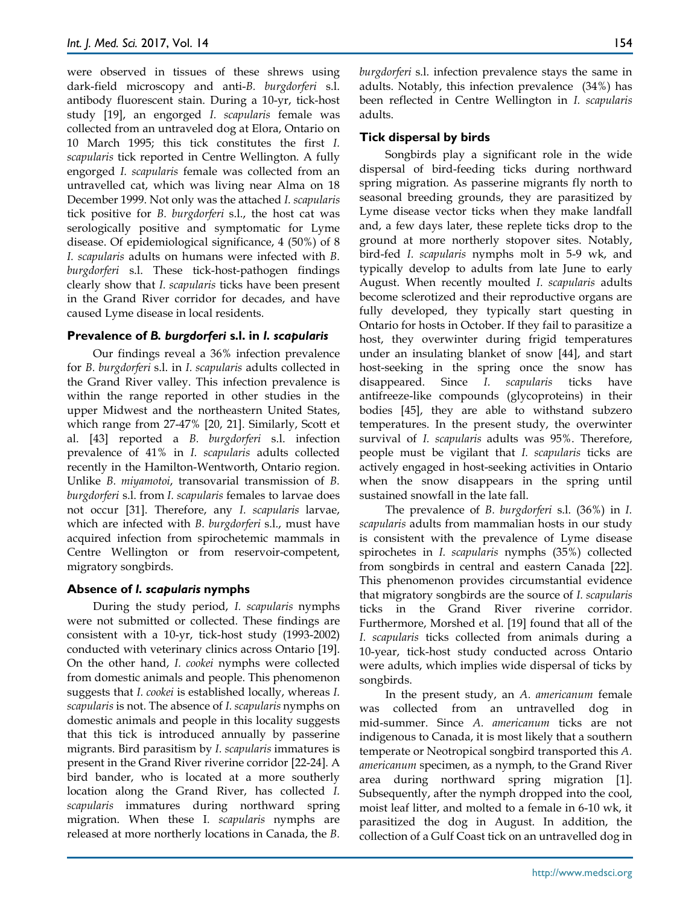were observed in tissues of these shrews using dark-field microscopy and anti-*B. burgdorferi* s.l. antibody fluorescent stain. During a 10-yr, tick-host study [19], an engorged *I. scapularis* female was collected from an untraveled dog at Elora, Ontario on 10 March 1995; this tick constitutes the first *I. scapularis* tick reported in Centre Wellington. A fully engorged *I. scapularis* female was collected from an untravelled cat, which was living near Alma on 18 December 1999. Not only was the attached *I. scapularis*  tick positive for *B. burgdorferi* s.l., the host cat was serologically positive and symptomatic for Lyme disease. Of epidemiological significance, 4 (50%) of 8 *I. scapularis* adults on humans were infected with *B. burgdorferi* s.l. These tick-host-pathogen findings clearly show that *I. scapularis* ticks have been present in the Grand River corridor for decades, and have caused Lyme disease in local residents.

#### **Prevalence of** *B. burgdorferi* **s.l. in** *I. scapularis*

Our findings reveal a 36% infection prevalence for *B. burgdorferi* s.l. in *I. scapularis* adults collected in the Grand River valley. This infection prevalence is within the range reported in other studies in the upper Midwest and the northeastern United States, which range from 27-47% [20, 21]. Similarly, Scott et al. [43] reported a *B. burgdorferi* s.l. infection prevalence of 41% in *I. scapularis* adults collected recently in the Hamilton-Wentworth, Ontario region. Unlike *B. miyamotoi*, transovarial transmission of *B. burgdorferi* s.l. from *I. scapularis* females to larvae does not occur [31]. Therefore, any *I. scapularis* larvae, which are infected with *B. burgdorferi* s.l., must have acquired infection from spirochetemic mammals in Centre Wellington or from reservoir-competent, migratory songbirds.

#### **Absence of** *I. scapularis* **nymphs**

During the study period, *I. scapularis* nymphs were not submitted or collected. These findings are consistent with a 10-yr, tick-host study (1993-2002) conducted with veterinary clinics across Ontario [19]. On the other hand, *I. cookei* nymphs were collected from domestic animals and people. This phenomenon suggests that *I. cookei* is established locally, whereas *I. scapularis* is not. The absence of *I. scapularis* nymphs on domestic animals and people in this locality suggests that this tick is introduced annually by passerine migrants. Bird parasitism by *I. scapularis* immatures is present in the Grand River riverine corridor [22-24]. A bird bander, who is located at a more southerly location along the Grand River, has collected *I. scapularis* immatures during northward spring migration. When these I*. scapularis* nymphs are released at more northerly locations in Canada, the *B.* 

*burgdorferi* s.l. infection prevalence stays the same in adults. Notably, this infection prevalence (34%) has been reflected in Centre Wellington in *I. scapularis* adults.

## **Tick dispersal by birds**

Songbirds play a significant role in the wide dispersal of bird-feeding ticks during northward spring migration. As passerine migrants fly north to seasonal breeding grounds, they are parasitized by Lyme disease vector ticks when they make landfall and, a few days later, these replete ticks drop to the ground at more northerly stopover sites. Notably, bird-fed *I. scapularis* nymphs molt in 5-9 wk, and typically develop to adults from late June to early August. When recently moulted *I. scapularis* adults become sclerotized and their reproductive organs are fully developed, they typically start questing in Ontario for hosts in October. If they fail to parasitize a host, they overwinter during frigid temperatures under an insulating blanket of snow [44], and start host-seeking in the spring once the snow has disappeared. Since *I. scapularis* ticks have antifreeze-like compounds (glycoproteins) in their bodies [45], they are able to withstand subzero temperatures. In the present study, the overwinter survival of *I. scapularis* adults was 95%. Therefore, people must be vigilant that *I. scapularis* ticks are actively engaged in host-seeking activities in Ontario when the snow disappears in the spring until sustained snowfall in the late fall.

The prevalence of *B. burgdorferi* s.l. (36%) in *I. scapularis* adults from mammalian hosts in our study is consistent with the prevalence of Lyme disease spirochetes in *I. scapularis* nymphs (35%) collected from songbirds in central and eastern Canada [22]. This phenomenon provides circumstantial evidence that migratory songbirds are the source of *I. scapularis*  ticks in the Grand River riverine corridor. Furthermore, Morshed et al. [19] found that all of the *I. scapularis* ticks collected from animals during a 10-year, tick-host study conducted across Ontario were adults, which implies wide dispersal of ticks by songbirds.

In the present study, an *A. americanum* female was collected from an untravelled dog in mid-summer. Since *A. americanum* ticks are not indigenous to Canada, it is most likely that a southern temperate or Neotropical songbird transported this *A. americanum* specimen, as a nymph, to the Grand River area during northward spring migration [1]. Subsequently, after the nymph dropped into the cool, moist leaf litter, and molted to a female in 6-10 wk, it parasitized the dog in August. In addition, the collection of a Gulf Coast tick on an untravelled dog in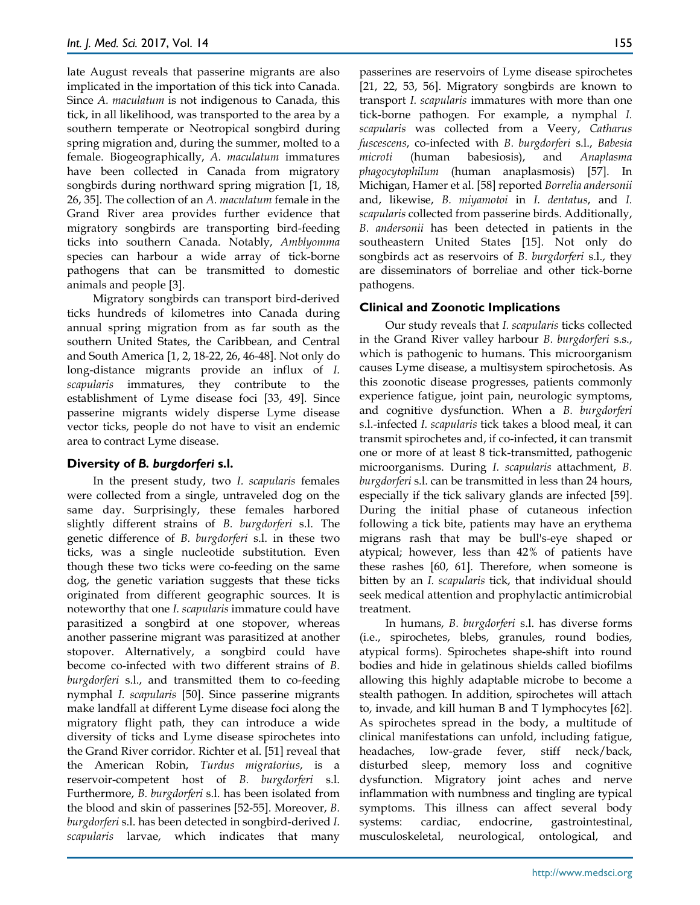late August reveals that passerine migrants are also implicated in the importation of this tick into Canada. Since *A. maculatum* is not indigenous to Canada, this tick, in all likelihood, was transported to the area by a southern temperate or Neotropical songbird during spring migration and, during the summer, molted to a female. Biogeographically, *A. maculatum* immatures have been collected in Canada from migratory songbirds during northward spring migration [1, 18, 26, 35]. The collection of an *A. maculatum* female in the Grand River area provides further evidence that migratory songbirds are transporting bird-feeding ticks into southern Canada. Notably, *Amblyomma* species can harbour a wide array of tick-borne pathogens that can be transmitted to domestic animals and people [3].

Migratory songbirds can transport bird-derived ticks hundreds of kilometres into Canada during annual spring migration from as far south as the southern United States, the Caribbean, and Central and South America [1, 2, 18-22, 26, 46-48]. Not only do long-distance migrants provide an influx of *I. scapularis* immatures, they contribute to the establishment of Lyme disease foci [33, 49]. Since passerine migrants widely disperse Lyme disease vector ticks, people do not have to visit an endemic area to contract Lyme disease.

# **Diversity of** *B. burgdorferi* **s.l.**

In the present study, two *I. scapularis* females were collected from a single, untraveled dog on the same day. Surprisingly, these females harbored slightly different strains of *B. burgdorferi* s.l. The genetic difference of *B. burgdorferi* s.l. in these two ticks, was a single nucleotide substitution. Even though these two ticks were co-feeding on the same dog, the genetic variation suggests that these ticks originated from different geographic sources. It is noteworthy that one *I. scapularis* immature could have parasitized a songbird at one stopover, whereas another passerine migrant was parasitized at another stopover. Alternatively, a songbird could have become co-infected with two different strains of *B. burgdorferi* s.l., and transmitted them to co-feeding nymphal *I. scapularis* [50]. Since passerine migrants make landfall at different Lyme disease foci along the migratory flight path, they can introduce a wide diversity of ticks and Lyme disease spirochetes into the Grand River corridor. Richter et al. [51] reveal that the American Robin, *Turdus migratorius*, is a reservoir-competent host of *B. burgdorferi* s.l. Furthermore, *B. burgdorferi* s.l. has been isolated from the blood and skin of passerines [52-55]. Moreover, *B. burgdorferi* s.l. has been detected in songbird-derived *I. scapularis* larvae, which indicates that many

passerines are reservoirs of Lyme disease spirochetes [21, 22, 53, 56]. Migratory songbirds are known to transport *I. scapularis* immatures with more than one tick-borne pathogen. For example, a nymphal *I. scapularis* was collected from a Veery, *Catharus fuscescens*, co-infected with *B. burgdorferi* s.l., *Babesia microti* (human babesiosis), and *Anaplasma phagocytophilum* (human anaplasmosis) [57]. In Michigan, Hamer et al. [58] reported *Borrelia andersonii* and, likewise, *B. miyamotoi* in *I. dentatus*, and *I. scapularis* collected from passerine birds. Additionally, *B. andersonii* has been detected in patients in the southeastern United States [15]. Not only do songbirds act as reservoirs of *B. burgdorferi* s.l., they are disseminators of borreliae and other tick-borne pathogens.

# **Clinical and Zoonotic Implications**

Our study reveals that *I. scapularis* ticks collected in the Grand River valley harbour *B. burgdorferi* s.s., which is pathogenic to humans. This microorganism causes Lyme disease, a multisystem spirochetosis. As this zoonotic disease progresses, patients commonly experience fatigue, joint pain, neurologic symptoms, and cognitive dysfunction. When a *B. burgdorferi* s.l.-infected *I. scapularis* tick takes a blood meal, it can transmit spirochetes and, if co-infected, it can transmit one or more of at least 8 tick-transmitted, pathogenic microorganisms. During *I. scapularis* attachment, *B. burgdorferi* s.l. can be transmitted in less than 24 hours, especially if the tick salivary glands are infected [59]. During the initial phase of cutaneous infection following a tick bite, patients may have an erythema migrans rash that may be bull's-eye shaped or atypical; however, less than 42% of patients have these rashes [60, 61]. Therefore, when someone is bitten by an *I. scapularis* tick, that individual should seek medical attention and prophylactic antimicrobial treatment.

In humans, *B. burgdorferi* s.l. has diverse forms (i.e., spirochetes, blebs, granules, round bodies, atypical forms). Spirochetes shape-shift into round bodies and hide in gelatinous shields called biofilms allowing this highly adaptable microbe to become a stealth pathogen. In addition, spirochetes will attach to, invade, and kill human B and T lymphocytes [62]. As spirochetes spread in the body, a multitude of clinical manifestations can unfold, including fatigue, headaches, low-grade fever, stiff neck/back, disturbed sleep, memory loss and cognitive dysfunction. Migratory joint aches and nerve inflammation with numbness and tingling are typical symptoms. This illness can affect several body systems: cardiac, endocrine, gastrointestinal, musculoskeletal, neurological, ontological, and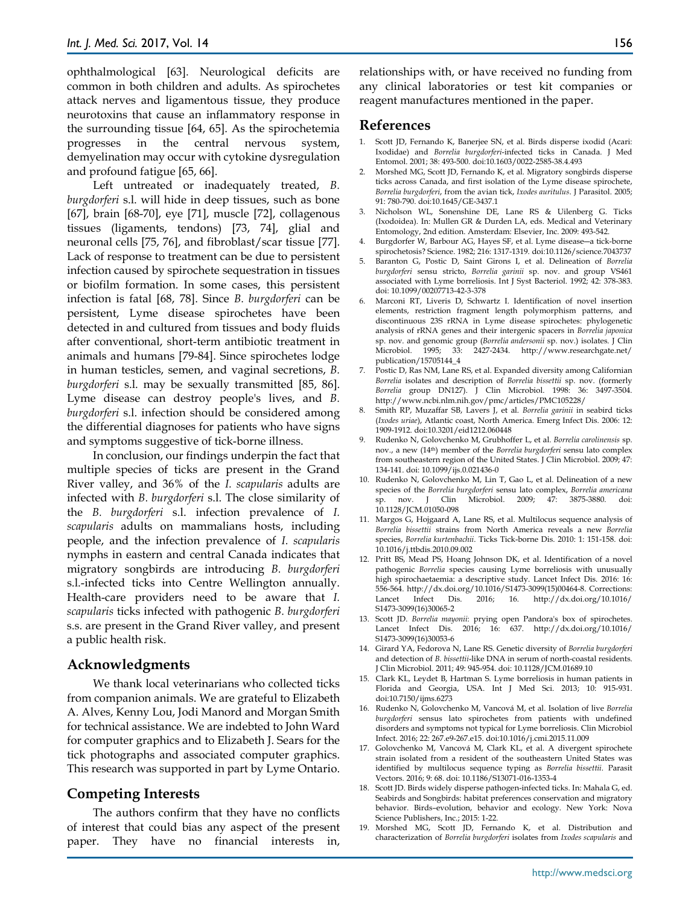ophthalmological [63]. Neurological deficits are common in both children and adults. As spirochetes attack nerves and ligamentous tissue, they produce neurotoxins that cause an inflammatory response in the surrounding tissue [64, 65]. As the spirochetemia progresses in the central nervous system, demyelination may occur with cytokine dysregulation and profound fatigue [65, 66].

Left untreated or inadequately treated, *B. burgdorferi* s.l. will hide in deep tissues, such as bone [67], brain [68-70], eye [71], muscle [72], collagenous tissues (ligaments, tendons) [73, 74], glial and neuronal cells [75, 76], and fibroblast/scar tissue [77]. Lack of response to treatment can be due to persistent infection caused by spirochete sequestration in tissues or biofilm formation. In some cases, this persistent infection is fatal [68, 78]. Since *B. burgdorferi* can be persistent, Lyme disease spirochetes have been detected in and cultured from tissues and body fluids after conventional, short-term antibiotic treatment in animals and humans [79-84]. Since spirochetes lodge in human testicles, semen, and vaginal secretions, *B. burgdorferi* s.l. may be sexually transmitted [85, 86]. Lyme disease can destroy people's lives, and *B. burgdorferi* s.l. infection should be considered among the differential diagnoses for patients who have signs and symptoms suggestive of tick-borne illness.

In conclusion, our findings underpin the fact that multiple species of ticks are present in the Grand River valley, and 36% of the *I. scapularis* adults are infected with *B. burgdorferi* s.l. The close similarity of the *B. burgdorferi* s.l. infection prevalence of *I. scapularis* adults on mammalians hosts, including people, and the infection prevalence of *I. scapularis*  nymphs in eastern and central Canada indicates that migratory songbirds are introducing *B. burgdorferi*  s.l.-infected ticks into Centre Wellington annually. Health-care providers need to be aware that *I. scapularis* ticks infected with pathogenic *B. burgdorferi* s.s. are present in the Grand River valley, and present a public health risk.

#### **Acknowledgments**

We thank local veterinarians who collected ticks from companion animals. We are grateful to Elizabeth A. Alves, Kenny Lou, Jodi Manord and Morgan Smith for technical assistance. We are indebted to John Ward for computer graphics and to Elizabeth J. Sears for the tick photographs and associated computer graphics. This research was supported in part by Lyme Ontario.

# **Competing Interests**

The authors confirm that they have no conflicts of interest that could bias any aspect of the present paper. They have no financial interests in, relationships with, or have received no funding from any clinical laboratories or test kit companies or reagent manufactures mentioned in the paper.

#### **References**

- 1. Scott JD, Fernando K, Banerjee SN, et al. Birds disperse ixodid (Acari: Ixodidae) and *Borrelia burgdorferi*-infected ticks in Canada. J Med Entomol. 2001; 38: 493-500. doi:10.1603/0022-2585-38.4.493
- 2. Morshed MG, Scott JD, Fernando K, et al. Migratory songbirds disperse ticks across Canada, and first isolation of the Lyme disease spirochete, *Borrelia burgdorferi*, from the avian tick, *Ixodes auritulus*. J Parasitol. 2005; 91: 780-790. doi:10.1645/GE-3437.1
- 3. Nicholson WL, Sonenshine DE, Lane RS & Uilenberg G. Ticks (Ixodoidea). In: Mullen GR & Durden LA, eds. Medical and Veterinary Entomology, 2nd edition. Amsterdam: Elsevier, Inc. 2009: 493-542.
- 4. Burgdorfer W, Barbour AG, Hayes SF, et al. Lyme disease―a tick-borne spirochetosis? Science. 1982; 216: 1317-1319. doi:10.1126/science.7043737
- 5. Baranton G, Postic D, Saint Girons I, et al. Delineation of *Borrelia burgdorferi* sensu stricto, *Borrelia garinii* sp. nov. and group VS461 associated with Lyme borreliosis. Int J Syst Bacteriol. 1992; 42: 378-383. doi: 10.1099/00207713-42-3-378
- 6. Marconi RT, Liveris D, Schwartz I. Identification of novel insertion elements, restriction fragment length polymorphism patterns, and discontinuous 23S rRNA in Lyme disease spirochetes: phylogenetic analysis of rRNA genes and their intergenic spacers in *Borrelia japonica*  sp. nov. and genomic group (*Borrelia andersonii* sp. nov.) isolates. J Clin Microbiol. 1995; 33: 2427-2434. http://www.researchgate.net/ publication/15705144\_4
- 7. Postic D, Ras NM, Lane RS, et al. Expanded diversity among Californian *Borrelia* isolates and description of *Borrelia bissettii* sp. nov. (formerly *Borrelia* group DN127). J Clin Microbiol. 1998: 36: 3497-3504. http://www.ncbi.nlm.nih.gov/pmc/articles/PMC105228/
- 8. Smith RP, Muzaffar SB, Lavers J, et al. *Borrelia garinii* in seabird ticks (*Ixodes uriae*), Atlantic coast, North America. Emerg Infect Dis. 2006: 12: 1909-1912. doi:10.3201/eid1212.060448
- 9. Rudenko N, Golovchenko M, Grubhoffer L, et al. *Borrelia carolinensis* sp. nov., a new (14th) member of the *Borrelia burgdorferi* sensu lato complex from southeastern region of the United States. J Clin Microbiol. 2009; 47: 134-141. doi: 10.1099/ijs.0.021436-0
- 10. Rudenko N, Golovchenko M, Lin T, Gao L, et al. Delineation of a new species of the *Borrelia burgdorferi* sensu lato complex, *Borrelia americana* sp. nov. J Clin Microbiol. 2009; 47: 3875-3880. doi: 10.1128/JCM.01050-098
- 11. Margos G, Hojgaard A, Lane RS, et al. Multilocus sequence analysis of *Borrelia bissettii* strains from North America reveals a new *Borrelia* species, *Borrelia kurtenbachii*. Ticks Tick-borne Dis. 2010: 1: 151-158. doi: 10.1016/j.ttbdis.2010.09.002
- 12. Pritt BS, Mead PS, Hoang Johnson DK, et al. Identification of a novel pathogenic *Borrelia* species causing Lyme borreliosis with unusually high spirochaetaemia: a descriptive study. Lancet Infect Dis. 2016: 16: 556-564. http://dx.doi.org/10.1016/S1473-3099(15)00464-8. Corrections: Lancet Infect Dis. 2016; 16. http://dx.doi.org/10.1016/ S1473-3099(16)30065-2
- 13. Scott JD. *Borrelia mayonii*: prying open Pandora's box of spirochetes. Lancet Infect Dis. 2016; 16: 637. http://dx.doi.org/10.1016/ S1473-3099(16)30053-6
- 14. Girard YA, Fedorova N, Lane RS. Genetic diversity of *Borrelia burgdorferi* and detection of *B. bissettii*-like DNA in serum of north-coastal residents. J Clin Microbiol. 2011; 49: 945-954. doi: 10.1128/JCM.01689.10
- 15. Clark KL, Leydet B, Hartman S. Lyme borreliosis in human patients in Florida and Georgia, USA. Int J Med Sci. 2013; 10: 915-931. doi:10.7150/ijms.6273
- 16. Rudenko N, Golovchenko M, Vancová M, et al. Isolation of live *Borrelia burgdorferi* sensus lato spirochetes from patients with undefined disorders and symptoms not typical for Lyme borreliosis. Clin Microbiol Infect. 2016; 22: 267.e9-267.e15. doi:10.1016/j.cmi.2015.11.009
- 17. Golovchenko M, Vancová M, Clark KL, et al. A divergent spirochete strain isolated from a resident of the southeastern United States was identified by multilocus sequence typing as *Borrelia bissettii*. Parasit Vectors. 2016; 9: 68. doi: 10.1186/S13071-016-1353-4
- 18. Scott JD. Birds widely disperse pathogen-infected ticks. In: Mahala G, ed. Seabirds and Songbirds: habitat preferences conservation and migratory behavior. Birds–evolution, behavior and ecology. New York: Nova Science Publishers, Inc.; 2015: 1-22.
- 19. Morshed MG, Scott JD, Fernando K, et al. Distribution and characterization of *Borrelia burgdorferi* isolates from *Ixodes scapularis* and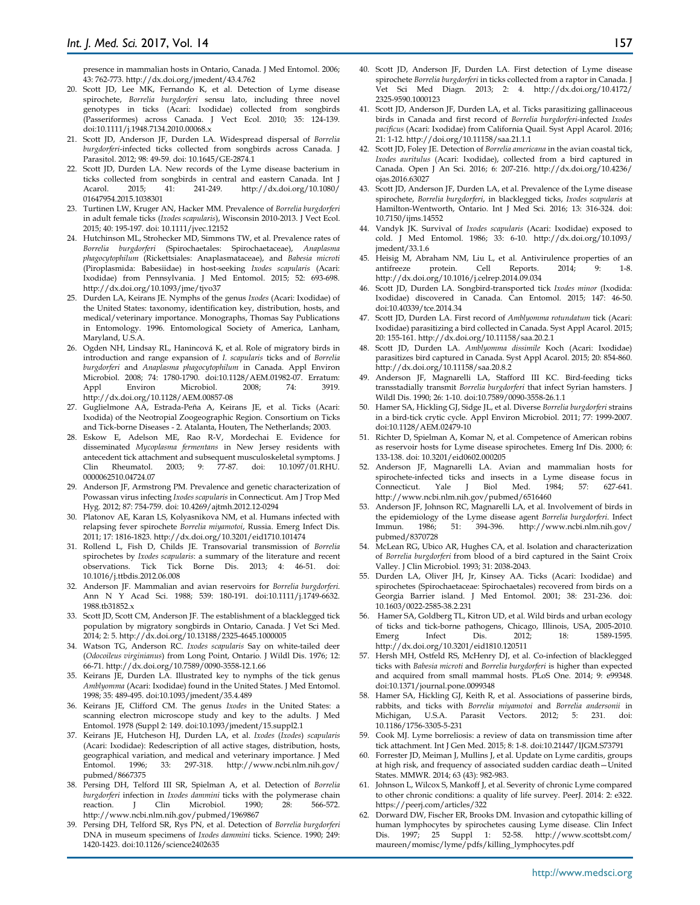presence in mammalian hosts in Ontario, Canada. J Med Entomol. 2006; 43: 762-773. http://dx.doi.org/jmedent/43.4.762

- 20. Scott JD, Lee MK, Fernando K, et al. Detection of Lyme disease spirochete, *Borrelia burgdorferi* sensu lato, including three novel genotypes in ticks (Acari: Ixodidae) collected from songbirds (Passeriformes) across Canada. J Vect Ecol. 2010; 35: 124-139. doi:10.1111/j.1948.7134.2010.00068.x
- 21. Scott JD, Anderson JF, Durden LA. Widespread dispersal of *Borrelia burgdorferi*-infected ticks collected from songbirds across Canada. J Parasitol. 2012; 98: 49-59. doi: 10.1645/GE-2874.1
- 22. Scott JD, Durden LA. New records of the Lyme disease bacterium in ticks collected from songbirds in central and eastern Canada. Int J<br>Acarol. 2015; 41: 241-249. http://dx.doi.org/10.1080/ http://dx.doi.org/10.1080/ 01647954.2015.1038301
- 23. Turtinen LW, Kruger AN, Hacker MM. Prevalence of *Borrelia burgdorferi* in adult female ticks (*Ixodes scapularis*), Wisconsin 2010-2013. J Vect Ecol. 2015; 40: 195-197. doi: 10.1111/jvec.12152
- 24. Hutchinson ML, Strohecker MD, Simmons TW, et al. Prevalence rates of *Borrelia burgdorferi* (Spirochaetales: Spirochaetaceae), *Anaplasma phagocytophilum* (Rickettsiales: Anaplasmataceae), and *Babesia microti* (Piroplasmida: Babesiidae) in host-seeking *Ixodes scapularis* (Acari: Ixodidae) from Pennsylvania. J Med Entomol. 2015; 52: 693-698. http://dx.doi.org/10.1093/jme/tjvo37
- 25. Durden LA, Keirans JE. Nymphs of the genus *Ixodes* (Acari: Ixodidae) of the United States: taxonomy, identification key, distribution, hosts, and medical/veterinary importance. Monographs, Thomas Say Publications in Entomology. 1996. Entomological Society of America, Lanham, Maryland, U.S.A.
- 26. Ogden NH, Lindsay RL, Hanincová K, et al. Role of migratory birds in introduction and range expansion of *I. scapularis* ticks and of *Borrelia burgdorferi* and *Anaplasma phagocytophilum* in Canada. Appl Environ Microbiol. 2008; 74: 1780-1790. doi:10.1128/AEM.01982-07. Erratum: Appl Environ Microbiol. 2008; 74: 3919. http://dx.doi.org/10.1128/AEM.00857-08
- 27. Guglielmone AA, Estrada-Peña A, Keirans JE, et al. Ticks (Acari: Ixodida) of the Neotropial Zoogeographic Region. Consortium on Ticks and Tick-borne Diseases - 2. Atalanta, Houten, The Netherlands; 2003.
- 28. Eskow E, Adelson ME, Rao R-V, Mordechai E. Evidence for disseminated *Mycoplasma fermentans* in New Jersey residents with antecedent tick attachment and subsequent musculoskeletal symptoms. J Clin Rheumatol. 2003; 9: 77-87. doi: 10.1097/01.RHU. 0000062510.04724.07
- 29. Anderson JF, Armstrong PM. Prevalence and genetic characterization of Powassan virus infecting *Ixodes scapularis* in Connecticut. Am J Trop Med Hyg. 2012; 87: 754-759. doi: 10.4269/ajtmh.2012.12-0294
- 30. Platonov AE, Karan LS, Kolyasnikova NM, et al. Humans infected with relapsing fever spirochete *Borrelia miyamotoi*, Russia. Emerg Infect Dis. 2011; 17: 1816-1823. http://dx.doi.org/10.3201/eid1710.101474
- 31. Rollend L, Fish D, Childs JE. Transovarial transmission of *Borrelia* spirochetes by *Ixodes scapularis*: a summary of the literature and recent observations. Tick Tick Borne Dis. 2013; 4: 46-51. 10.1016/j.ttbdis.2012.06.008
- 32. Anderson JF. Mammalian and avian reservoirs for *Borrelia burgdorferi*. Ann N Y Acad Sci. 1988; 539: 180-191. doi:10.1111/j.1749-6632. 1988.tb31852.x
- 33. Scott JD, Scott CM, Anderson JF. The establishment of a blacklegged tick population by migratory songbirds in Ontario, Canada. J Vet Sci Med. 2014; 2: 5. http://dx.doi.org/10.13188/2325-4645.1000005
- 34. Watson TG, Anderson RC. *Ixodes scapularis* Say on white-tailed deer (*Odocoileus virginianus*) from Long Point, Ontario. J Wildl Dis. 1976; 12: 66-71. http://dx.doi.org/10.7589/0090-3558-12.1.66
- 35. Keirans JE, Durden LA. Illustrated key to nymphs of the tick genus *Amblyomma* (Acari: Ixodidae) found in the United States. J Med Entomol. 1998; 35: 489-495. doi:10.1093/jmedent/35.4.489
- 36. Keirans JE, Clifford CM. The genus *Ixodes* in the United States: a scanning electron microscope study and key to the adults. J Med Entomol. 1978 (Suppl 2: 149. doi:10.1093/jmedent/15.suppl2.1
- 37. Keirans JE, Hutcheson HJ, Durden LA, et al. *Ixodes* (*Ixodes*) *scapularis*  (Acari: Ixodidae): Redescription of all active stages, distribution, hosts, geographical variation, and medical and veterinary importance. J Med Entomol. 1996; 33: 297-318. http://www.ncbi.nlm.nih.gov/ pubmed/8667375
- 38. Persing DH, Telford III SR, Spielman A, et al. Detection of *Borrelia burgdorferi* infection in *Ixodes dammini* ticks with the polymerase chain reaction. J Clin Microbiol. 1990; 28: 566-572. reaction. J Clin Microbiol. 1990; 28: 566-572. http://www.ncbi.nlm.nih.gov/pubmed/1969867
- 39. Persing DH, Telford SR, Rys PN, et al. Detection of *Borrelia burgdorferi*  DNA in museum specimens of *Ixodes dammini* ticks. Science. 1990; 249: 1420-1423. doi:10.1126/science2402635
- 40. Scott JD, Anderson JF, Durden LA. First detection of Lyme disease spirochete *Borrelia burgdorferi* in ticks collected from a raptor in Canada. J Vet Sci Med Diagn. 2013; 2: 4. http://dx.doi.org/10.4172/ 2325-9590.1000123
- 41. Scott JD, Anderson JF, Durden LA, et al. Ticks parasitizing gallinaceous birds in Canada and first record of *Borrelia burgdorferi*-infected *Ixodes pacificus* (Acari: Ixodidae) from California Quail. Syst Appl Acarol. 2016; 21: 1-12. http://doi.org/10.11158/saa.21.1.1
- 42. Scott JD, Foley JE. Detection of *Borrelia americana* in the avian coastal tick, *Ixodes auritulus* (Acari: Ixodidae), collected from a bird captured in Canada. Open J An Sci. 2016; 6: 207-216. http://dx.doi.org/10.4236/ ojas.2016.63027
- 43. Scott JD, Anderson JF, Durden LA, et al. Prevalence of the Lyme disease spirochete, *Borrelia burgdorferi*, in blacklegged ticks, *Ixodes scapularis* at Hamilton-Wentworth, Ontario. Int J Med Sci. 2016; 13: 316-324. doi: 10.7150/ijms.14552
- 44. Vandyk JK. Survival of *Ixodes scapularis* (Acari: Ixodidae) exposed to cold. J Med Entomol. 1986; 33: 6-10. http://dx.doi.org/10.1093/ jmedent/33.1.6
- 45. Heisig M, Abraham NM, Liu L, et al. Antivirulence properties of an antifreeze protein. Cell Reports. 2014; 9: 1-8. antifreeze protein. Cell Reports. 2014; 9: 1-8. http://dx.doi.org/10.1016/j.celrep.2014.09.034
- 46. Scott JD, Durden LA. Songbird-transported tick *Ixodes minor* (Ixodida: Ixodidae) discovered in Canada. Can Entomol. 2015; 147: 46-50. doi:10.40339/tce.2014.34
- 47. Scott JD, Durden LA. First record of *Amblyomma rotundatum* tick (Acari: Ixodidae) parasitizing a bird collected in Canada. Syst Appl Acarol. 2015; 20: 155-161. http://dx.doi.org/10.11158/saa.20.2.1
- 48. Scott JD, Durden LA. *Amblyomma dissimile* Koch (Acari: Ixodidae) parasitizes bird captured in Canada. Syst Appl Acarol. 2015; 20: 854-860. http://dx.doi.org/10.11158/saa.20.8.2
- 49. Anderson JF, Magnarelli LA, Stafford III KC. Bird-feeding ticks transstadially transmit *Borrelia burgdorferi* that infect Syrian hamsters. J Wildl Dis. 1990; 26: 1-10. doi:10.7589/0090-3558-26.1.1
- 50. Hamer SA, Hickling GJ, Sidge JL, et al. Diverse *Borrelia burgdorferi* strains in a bird-tick crytic cycle. Appl Environ Microbiol. 2011; 77: 1999-2007. doi:10.1128/AEM.02479-10
- 51. Richter D, Spielman A, Komar N, et al. Competence of American robins as reservoir hosts for Lyme disease spirochetes. Emerg Inf Dis. 2000; 6: 133-138. doi: 10.3201/eid0602.000205
- 52. Anderson JF, Magnarelli LA. Avian and mammalian hosts for spirochete-infected ticks and insects in a Lyme disease focus in Connecticut. Yale J Biol Med. 1984; 57: 627-641. http://www.ncbi.nlm.nih.gov/pubmed/6516460
- 53. Anderson JF, Johnson RC, Magnarelli LA, et al. Involvement of birds in the epidemiology of the Lyme disease agent *Borrelia burgdorferi*. Infect<br>Immun. 1986: 51: 394-396. http://www.ncbi.nlm.nih.gov/ Immun. 1986; 51: 394-396. http://www.ncbi.nlm.nih.gov/ pubmed/8370728
- 54. McLean RG, Ubico AR, Hughes CA, et al. Isolation and characterization of *Borrelia burgdorferi* from blood of a bird captured in the Saint Croix Valley. J Clin Microbiol. 1993; 31: 2038-2043.
- 55. Durden LA, Oliver JH, Jr, Kinsey AA. Ticks (Acari: Ixodidae) and spirochetes (Spirochaetaceae: Spirochaetales) recovered from birds on a Georgia Barrier island. J Med Entomol. 2001; 38: 231-236. doi: 10.1603/0022-2585-38.2.231
- 56. Hamer SA, Goldberg TL, Kitron UD, et al. Wild birds and urban ecology of ticks and tick-borne pathogens, Chicago, Illinois, USA, 2005-2010. Infect Dis. 2012: 18: 1589-1595. http://dx.doi.org/10.3201/eid1810.120511
- 57. Hersh MH, Ostfeld RS, McHenry DJ, et al. Co-infection of blacklegged ticks with *Babesia microti* and *Borrelia burgdorferi* is higher than expected and acquired from small mammal hosts. PLoS One. 2014; 9: e99348. doi:10.1371/journal.pone.0099348
- 58. Hamer SA, Hickling GJ, Keith R, et al. Associations of passerine birds, rabbits, and ticks with *Borrelia miyamotoi* and *Borrelia andersonii* in Michigan, U.S.A. Parasit Vectors. 2012; 5: 231. doi: 10.1186/1756-3305-5-231
- 59. Cook MJ. Lyme borreliosis: a review of data on transmission time after tick attachment. Int J Gen Med. 2015; 8: 1-8. doi:10.21447/IJGM.S73791
- 60. Forrester JD, Meiman J, Mullins J, et al. Update on Lyme carditis, groups at high risk, and frequency of associated sudden cardiac death—United States. MMWR. 2014; 63 (43): 982-983.
- 61. Johnson L, Wilcox S, Mankoff J, et al. Severity of chronic Lyme compared to other chronic conditions: a quality of life survey. PeerJ. 2014: 2: e322. https://peerj.com/articles/322
- 62. Dorward DW, Fischer ER, Brooks DM. Invasion and cytopathic killing of human lymphocytes by spirochetes causing Lyme disease. Clin Infect Dis. 1997; 25 Suppl 1: 52-58. http://www.scottsbt.com/ maureen/momisc/lyme/pdfs/killing\_lymphocytes.pdf